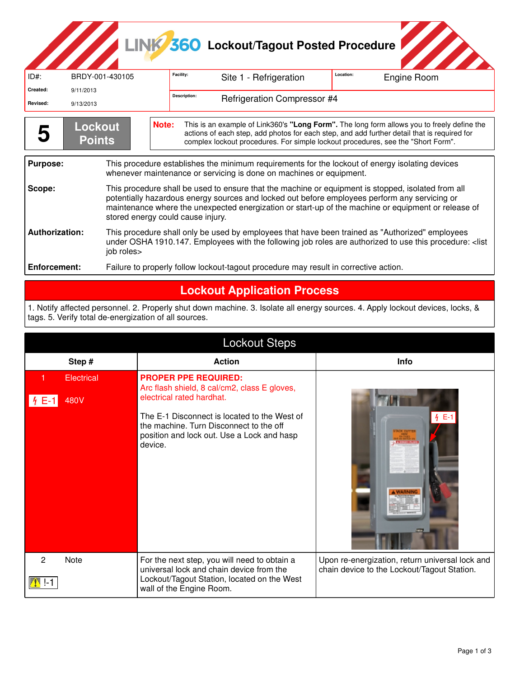# LINK<sup>3</sup>360 Lockout/Tagout Posted Procedure

| ID#:                                                                                                                                                                                                                                                                                                                      | BRDY-001-430105                                                                                                                                                                                                                                                                                                                                 | Facility:<br>Site 1 - Refrigeration                                                                                                                                                                                        | Location:<br>Engine Room |  |  |
|---------------------------------------------------------------------------------------------------------------------------------------------------------------------------------------------------------------------------------------------------------------------------------------------------------------------------|-------------------------------------------------------------------------------------------------------------------------------------------------------------------------------------------------------------------------------------------------------------------------------------------------------------------------------------------------|----------------------------------------------------------------------------------------------------------------------------------------------------------------------------------------------------------------------------|--------------------------|--|--|
| Created:                                                                                                                                                                                                                                                                                                                  | 9/11/2013                                                                                                                                                                                                                                                                                                                                       | Description:                                                                                                                                                                                                               |                          |  |  |
| Revised:                                                                                                                                                                                                                                                                                                                  | 9/13/2013                                                                                                                                                                                                                                                                                                                                       | <b>Refrigeration Compressor #4</b>                                                                                                                                                                                         |                          |  |  |
| This is an example of Link360's "Long Form". The long form allows you to freely define the<br>Note:<br><b>Lockout</b><br>actions of each step, add photos for each step, and add further detail that is required for<br><b>Points</b><br>complex lockout procedures. For simple lockout procedures, see the "Short Form". |                                                                                                                                                                                                                                                                                                                                                 |                                                                                                                                                                                                                            |                          |  |  |
| <b>Purpose:</b><br>This procedure establishes the minimum requirements for the lockout of energy isolating devices<br>whenever maintenance or servicing is done on machines or equipment.                                                                                                                                 |                                                                                                                                                                                                                                                                                                                                                 |                                                                                                                                                                                                                            |                          |  |  |
| Scope:                                                                                                                                                                                                                                                                                                                    | This procedure shall be used to ensure that the machine or equipment is stopped, isolated from all<br>potentially hazardous energy sources and locked out before employees perform any servicing or<br>maintenance where the unexpected energization or start-up of the machine or equipment or release of<br>stored energy could cause injury. |                                                                                                                                                                                                                            |                          |  |  |
| <b>Authorization:</b><br>job roles>                                                                                                                                                                                                                                                                                       |                                                                                                                                                                                                                                                                                                                                                 | This procedure shall only be used by employees that have been trained as "Authorized" employees<br>under OSHA 1910.147. Employees with the following job roles are authorized to use this procedure: <list< th=""></list<> |                          |  |  |
| Enforcement:                                                                                                                                                                                                                                                                                                              |                                                                                                                                                                                                                                                                                                                                                 | Failure to properly follow lockout-tagout procedure may result in corrective action.                                                                                                                                       |                          |  |  |
|                                                                                                                                                                                                                                                                                                                           |                                                                                                                                                                                                                                                                                                                                                 |                                                                                                                                                                                                                            |                          |  |  |

#### **Lockout Application Process**

1. Notify affected personnel. 2. Properly shut down machine. 3. Isolate all energy sources. 4. Apply lockout devices, locks, & tags. 5. Verify total de-energization of all sources.

| <b>Lockout Steps</b> |                                                                                                                                                                     |                                                                                                |  |  |  |
|----------------------|---------------------------------------------------------------------------------------------------------------------------------------------------------------------|------------------------------------------------------------------------------------------------|--|--|--|
| Step#                | <b>Action</b>                                                                                                                                                       | Info                                                                                           |  |  |  |
| Electrical<br>480V   | <b>PROPER PPE REQUIRED:</b><br>Arc flash shield, 8 cal/cm2, class E gloves,<br>electrical rated hardhat.                                                            |                                                                                                |  |  |  |
|                      | The E-1 Disconnect is located to the West of<br>the machine. Turn Disconnect to the off<br>position and lock out. Use a Lock and hasp<br>device.                    | $4E-1$                                                                                         |  |  |  |
| 2<br>Note            | For the next step, you will need to obtain a<br>universal lock and chain device from the<br>Lockout/Tagout Station, located on the West<br>wall of the Engine Room. | Upon re-energization, return universal lock and<br>chain device to the Lockout/Tagout Station. |  |  |  |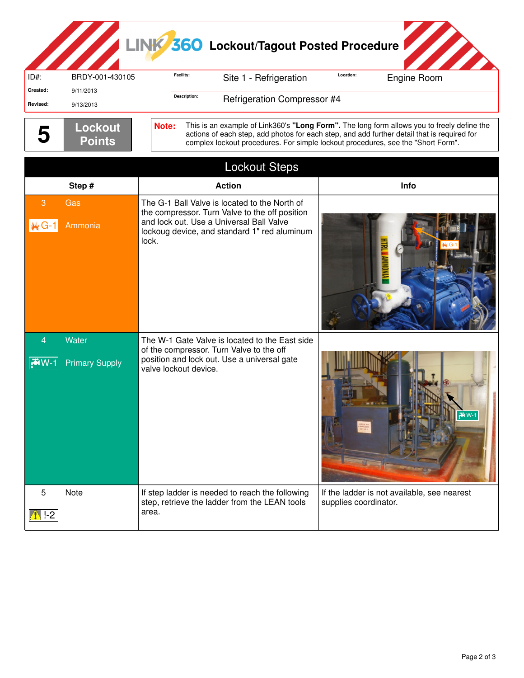## LINK 360 Lockout/Tagout Posted Procedure

| ID#:                            | BRDY-001-430105                | Facility:<br>Site 1 - Refrigeration                                                                                                                                                                  |                                    | Location:<br>Engine Room                                                                                                                                                                                                                                                      |
|---------------------------------|--------------------------------|------------------------------------------------------------------------------------------------------------------------------------------------------------------------------------------------------|------------------------------------|-------------------------------------------------------------------------------------------------------------------------------------------------------------------------------------------------------------------------------------------------------------------------------|
| Created:                        | 9/11/2013                      | Description:                                                                                                                                                                                         |                                    |                                                                                                                                                                                                                                                                               |
| Revised:                        | 9/13/2013                      |                                                                                                                                                                                                      | <b>Refrigeration Compressor #4</b> |                                                                                                                                                                                                                                                                               |
|                                 | Lockout<br><b>Points</b>       | Note:                                                                                                                                                                                                |                                    | This is an example of Link360's "Long Form". The long form allows you to freely define the<br>actions of each step, add photos for each step, and add further detail that is required for<br>complex lockout procedures. For simple lockout procedures, see the "Short Form". |
|                                 |                                | <b>Lockout Steps</b>                                                                                                                                                                                 |                                    |                                                                                                                                                                                                                                                                               |
|                                 | Step#                          | <b>Action</b>                                                                                                                                                                                        |                                    | Info                                                                                                                                                                                                                                                                          |
| 3<br>$M G-1$                    | Gas<br>Ammonia                 | The G-1 Ball Valve is located to the North of<br>the compressor. Turn Valve to the off position<br>and lock out. Use a Universal Ball Valve<br>lockoug device, and standard 1" red aluminum<br>lock. |                                    |                                                                                                                                                                                                                                                                               |
|                                 | Water<br><b>Primary Supply</b> | The W-1 Gate Valve is located to the East side<br>of the compressor. Turn Valve to the off<br>position and lock out. Use a universal gate<br>valve lockout device.                                   |                                    | $\overline{N}$ W-1                                                                                                                                                                                                                                                            |
| 5<br>$\left  \cdot \right $ !-2 | Note                           | If step ladder is needed to reach the following<br>step, retrieve the ladder from the LEAN tools<br>area.                                                                                            |                                    | If the ladder is not available, see nearest<br>supplies coordinator.                                                                                                                                                                                                          |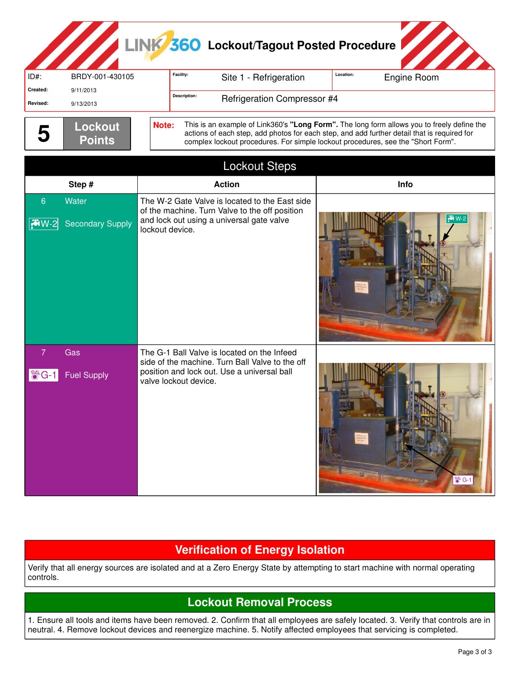### LINK<sup>3</sup>560 Lockout/Tagout Posted Procedure

|          | <b><i><u>A</u></i></b> |       |                                    |                                                                                            |           |             |
|----------|------------------------|-------|------------------------------------|--------------------------------------------------------------------------------------------|-----------|-------------|
| $ID#$ :  | BRDY-001-430105        |       | Facility:                          | Site 1 - Refrigeration                                                                     | Location: | Engine Room |
| Created: | 9/11/2013              |       | <b>Description:</b>                |                                                                                            |           |             |
| Revised: | 9/13/2013              |       | <b>Refrigeration Compressor #4</b> |                                                                                            |           |             |
|          |                        |       |                                    |                                                                                            |           |             |
|          | Lockout                | Note: |                                    | This is an example of Link360's "Long Form". The long form allows you to freely define the |           |             |

| 5                                  | Lockout<br><b>Points</b>         | Note:<br>This is an example of Link360's "Long Form". The long form allows you to freely define the<br>actions of each step, add photos for each step, and add further detail that is required for<br>complex lockout procedures. For simple lockout procedures, see the "Short Form". |                   |  |  |  |
|------------------------------------|----------------------------------|----------------------------------------------------------------------------------------------------------------------------------------------------------------------------------------------------------------------------------------------------------------------------------------|-------------------|--|--|--|
|                                    |                                  | <b>Lockout Steps</b>                                                                                                                                                                                                                                                                   |                   |  |  |  |
|                                    | Step#                            | <b>Action</b>                                                                                                                                                                                                                                                                          | Info              |  |  |  |
| 6<br>$\sqrt{7}W-2$                 | Water<br><b>Secondary Supply</b> | The W-2 Gate Valve is located to the East side<br>of the machine. Turn Valve to the off position<br>and lock out using a universal gate valve<br>lockout device.                                                                                                                       | $W-2$             |  |  |  |
| 7<br>$\blacksquare$ $\bigcirc$ G-1 | Gas<br><b>Fuel Supply</b>        | The G-1 Ball Valve is located on the Infeed<br>side of the machine. Turn Ball Valve to the off<br>position and lock out. Use a universal ball<br>valve lockout device.                                                                                                                 | $\circledast$ G-1 |  |  |  |

### **Verification of Energy Isolation**

Verify that all energy sources are isolated and at a Zero Energy State by attempting to start machine with normal operating controls.

### **Lockout Removal Process**

1. Ensure all tools and items have been removed. 2. Confirm that all employees are safely located. 3. Verify that controls are in neutral. 4. Remove lockout devices and reenergize machine. 5. Notify affected employees that servicing is completed.